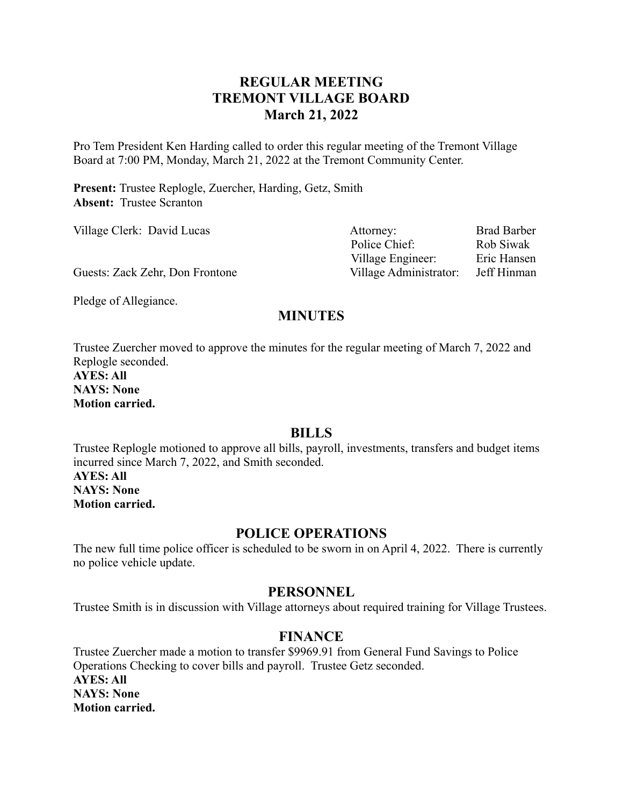# **REGULAR MEETING TREMONT VILLAGE BOARD March 21, 2022**

Pro Tem President Ken Harding called to order this regular meeting of the Tremont Village Board at 7:00 PM, Monday, March 21, 2022 at the Tremont Community Center.

**Present:** Trustee Replogle, Zuercher, Harding, Getz, Smith **Absent:** Trustee Scranton

| Village Clerk: David Lucas      | Attorney:              | <b>Brad Barber</b> |
|---------------------------------|------------------------|--------------------|
|                                 | Police Chief:          | Rob Siwak          |
|                                 | Village Engineer:      | Eric Hansen        |
| Guests: Zack Zehr, Don Frontone | Village Administrator: | Jeff Hinman        |

Pledge of Allegiance.

# **MINUTES**

Trustee Zuercher moved to approve the minutes for the regular meeting of March 7, 2022 and Replogle seconded.

**AYES: All NAYS: None Motion carried.**

## **BILLS**

Trustee Replogle motioned to approve all bills, payroll, investments, transfers and budget items incurred since March 7, 2022, and Smith seconded. **AYES: All NAYS: None Motion carried.**

## **POLICE OPERATIONS**

The new full time police officer is scheduled to be sworn in on April 4, 2022. There is currently no police vehicle update.

#### **PERSONNEL**

Trustee Smith is in discussion with Village attorneys about required training for Village Trustees.

## **FINANCE**

Trustee Zuercher made a motion to transfer \$9969.91 from General Fund Savings to Police Operations Checking to cover bills and payroll. Trustee Getz seconded. **AYES: All NAYS: None Motion carried.**